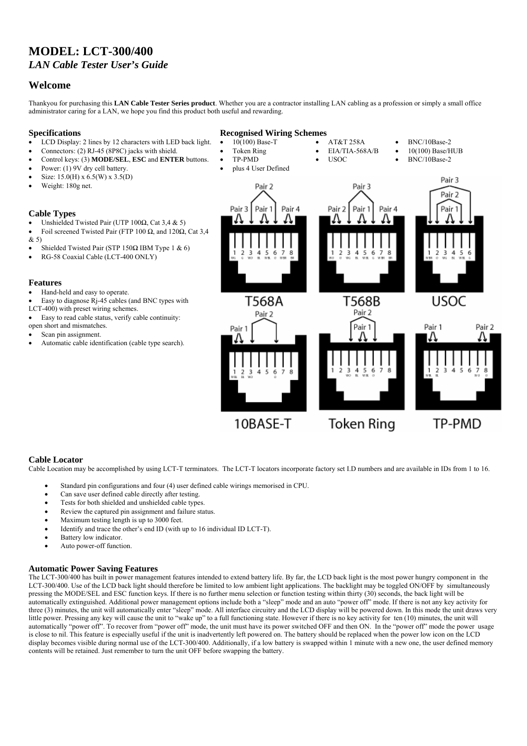# **MODEL: LCT-300/400**  *LAN Cable Tester User's Guide*

## **Welcome**

Thankyou for purchasing this **LAN Cable Tester Series product**. Whether you are a contractor installing LAN cabling as a profession or simply a small office administrator caring for a LAN, we hope you find this product both useful and rewarding.

### **Specifications**

- LCD Display: 2 lines by 12 characters with LED back light.
- Connectors: (2) RJ-45 (8P8C) jacks with shield.
- Control keys: (3) **MODE/SEL**, **ESC** and **ENTER** buttons.
- Power: (1) 9V dry cell battery.
- Size: 15.0(H) x 6.5(W) x 3.5(D)
- Weight: 180g net.
- 

#### **Cable Types**

- Unshielded Twisted Pair (UTP 100Ω, Cat 3,4 & 5)
- Foil screened Twisted Pair (FTP 100 Ω, and 120Ω, Cat 3,4  $(x, 5)$
- Shielded Twisted Pair (STP 150Ω IBM Type 1 & 6)
- RG-58 Coaxial Cable (LCT-400 ONLY)

#### **Features**

- Hand-held and easy to operate.
- Easy to diagnose  $\overline{R}$ -45 cables (and BNC types with
- LCT-400) with preset wiring schemes.
- Easy to read cable status, verify cable continuity: open short and mismatches.
- Scan pin assignment.
- Automatic cable identification (cable type search).

### **Recognised Wiring Schemes**

- $10(100)$  Base-T
	- Token Ring
	- TP-PMD
	- plus 4 User Defined
- AT&T 258A • EIA/TIA-568A/B

• USOC

- BNC/10Base-2
- 10(100) Base/HUB
	- BNC/10Base-2



### **Cable Locator**

Cable Location may be accomplished by using LCT-T terminators. The LCT-T locators incorporate factory set I.D numbers and are available in IDs from 1 to 16.

- Standard pin configurations and four (4) user defined cable wirings memorised in CPU.
- Can save user defined cable directly after testing.
- Tests for both shielded and unshielded cable types.
- Review the captured pin assignment and failure status.
- Maximum testing length is up to 3000 feet.
- Identify and trace the other's end ID (with up to 16 individual ID LCT-T).
- Battery low indicator.
- Auto power-off function.

### **Automatic Power Saving Features**

The LCT-300/400 has built in power management features intended to extend battery life. By far, the LCD back light is the most power hungry component in the LCT-300/400. Use of the LCD back light should therefore be limited to low ambient light applications. The backlight may be toggled ON/OFF by simultaneously pressing the MODE/SEL and ESC function keys. If there is no further menu selection or function testing within thirty (30) seconds, the back light will be automatically extinguished. Additional power management options include both a "sleep" mode and an auto "power off" mode. If there is not any key activity for three (3) minutes, the unit will automatically enter "sleep" mode. All interface circuitry and the LCD display will be powered down. In this mode the unit draws very little power. Pressing any key will cause the unit to "wake up" to a full functioning state. However if there is no key activity for ten (10) minutes, the unit will automatically "power off". To recover from "power off" mode, the unit must have its power switched OFF and then ON. In the "power off" mode the power usage is close to nil. This feature is especially useful if the unit is inadvertently left powered on. The battery should be replaced when the power low icon on the LCD display becomes visible during normal use of the LCT-300/400. Additionally, if a low battery is swapped within 1 minute with a new one, the user defined memory contents will be retained. Just remember to turn the unit OFF before swapping the battery.